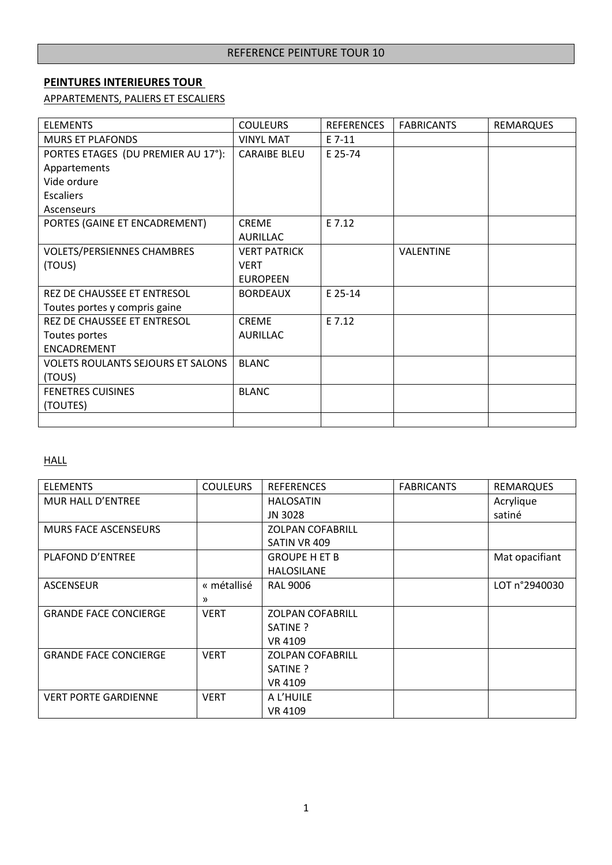### **PEINTURES INTERIEURES TOUR**

APPARTEMENTS, PALIERS ET ESCALIERS

| <b>ELEMENTS</b>                          | <b>COULEURS</b>     | <b>REFERENCES</b> | <b>FABRICANTS</b> | <b>REMARQUES</b> |
|------------------------------------------|---------------------|-------------------|-------------------|------------------|
| <b>MURS ET PLAFONDS</b>                  | <b>VINYL MAT</b>    | $E$ 7-11          |                   |                  |
| PORTES ETAGES (DU PREMIER AU 17°):       | <b>CARAIBE BLEU</b> | E 25-74           |                   |                  |
| Appartements                             |                     |                   |                   |                  |
| Vide ordure                              |                     |                   |                   |                  |
| <b>Escaliers</b>                         |                     |                   |                   |                  |
| Ascenseurs                               |                     |                   |                   |                  |
| PORTES (GAINE ET ENCADREMENT)            | <b>CREME</b>        | E 7.12            |                   |                  |
|                                          | <b>AURILLAC</b>     |                   |                   |                  |
| <b>VOLETS/PERSIENNES CHAMBRES</b>        | <b>VERT PATRICK</b> |                   | <b>VALENTINE</b>  |                  |
| (TOUS)                                   | <b>VERT</b>         |                   |                   |                  |
|                                          | <b>EUROPEEN</b>     |                   |                   |                  |
| REZ DE CHAUSSEE ET ENTRESOL              | <b>BORDEAUX</b>     | E 25-14           |                   |                  |
| Toutes portes y compris gaine            |                     |                   |                   |                  |
| REZ DE CHAUSSEE ET ENTRESOL              | <b>CREME</b>        | E 7.12            |                   |                  |
| Toutes portes                            | <b>AURILLAC</b>     |                   |                   |                  |
| ENCADREMENT                              |                     |                   |                   |                  |
| <b>VOLETS ROULANTS SEJOURS ET SALONS</b> | <b>BLANC</b>        |                   |                   |                  |
| (TOUS)                                   |                     |                   |                   |                  |
| <b>FENETRES CUISINES</b>                 | <b>BLANC</b>        |                   |                   |                  |
| (TOUTES)                                 |                     |                   |                   |                  |
|                                          |                     |                   |                   |                  |

# **HALL**

| <b>ELEMENTS</b>              | <b>COULEURS</b> | <b>REFERENCES</b>       | <b>FABRICANTS</b> | <b>REMARQUES</b> |
|------------------------------|-----------------|-------------------------|-------------------|------------------|
| MUR HALL D'ENTREE            |                 | <b>HALOSATIN</b>        |                   | Acrylique        |
|                              |                 | JN 3028                 |                   | satiné           |
| <b>MURS FACE ASCENSEURS</b>  |                 | <b>ZOLPAN COFABRILL</b> |                   |                  |
|                              |                 | SATIN VR 409            |                   |                  |
| PLAFOND D'ENTREE             |                 | <b>GROUPE H ET B</b>    |                   | Mat opacifiant   |
|                              |                 | <b>HALOSILANE</b>       |                   |                  |
| <b>ASCENSEUR</b>             | « métallisé     | <b>RAL 9006</b>         |                   | LOT n°2940030    |
|                              | $\mathcal{P}$   |                         |                   |                  |
| <b>GRANDE FACE CONCIERGE</b> | <b>VERT</b>     | <b>ZOLPAN COFABRILL</b> |                   |                  |
|                              |                 | SATINE ?                |                   |                  |
|                              |                 | VR 4109                 |                   |                  |
| <b>GRANDE FACE CONCIERGE</b> | <b>VERT</b>     | <b>ZOLPAN COFABRILL</b> |                   |                  |
|                              |                 | SATINE ?                |                   |                  |
|                              |                 | VR 4109                 |                   |                  |
| <b>VERT PORTE GARDIENNE</b>  | <b>VERT</b>     | A L'HUILE               |                   |                  |
|                              |                 | VR 4109                 |                   |                  |